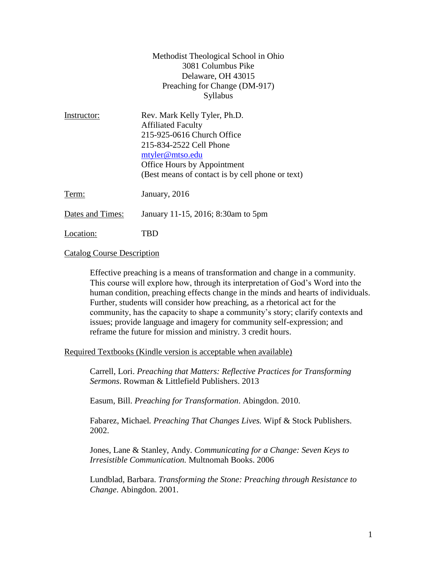| Methodist Theological School in Ohio |
|--------------------------------------|
| 3081 Columbus Pike                   |
| Delaware, OH 43015                   |
| Preaching for Change (DM-917)        |
| Syllabus                             |

| Instructor:      | Rev. Mark Kelly Tyler, Ph.D.<br><b>Affiliated Faculty</b><br>215-925-0616 Church Office<br>215-834-2522 Cell Phone<br>mtyler@mtso.edu<br>Office Hours by Appointment<br>(Best means of contact is by cell phone or text) |
|------------------|--------------------------------------------------------------------------------------------------------------------------------------------------------------------------------------------------------------------------|
| Term:            | January, 2016                                                                                                                                                                                                            |
| Dates and Times: | January 11-15, 2016; 8:30am to 5pm                                                                                                                                                                                       |
| Location:        | BD.                                                                                                                                                                                                                      |

#### Catalog Course Description

Effective preaching is a means of transformation and change in a community. This course will explore how, through its interpretation of God's Word into the human condition, preaching effects change in the minds and hearts of individuals. Further, students will consider how preaching, as a rhetorical act for the community, has the capacity to shape a community's story; clarify contexts and issues; provide language and imagery for community self-expression; and reframe the future for mission and ministry. 3 credit hours.

## Required Textbooks (Kindle version is acceptable when available)

Carrell, Lori. *Preaching that Matters: Reflective Practices for Transforming Sermons*. Rowman & Littlefield Publishers. 2013

Easum, Bill. *Preaching for Transformation*. Abingdon. 2010.

Fabarez, Michael*. Preaching That Changes Lives.* Wipf & Stock Publishers. 2002.

Jones, Lane & Stanley, Andy. *Communicating for a Change: Seven Keys to Irresistible Communication.* Multnomah Books. 2006

Lundblad, Barbara. *Transforming the Stone: Preaching through Resistance to Change*. Abingdon. 2001.